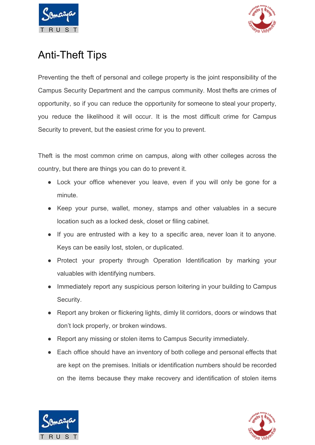



## Anti-Theft Tips

Preventing the theft of personal and college property is the joint responsibility of the Campus Security Department and the campus community. Most thefts are crimes of opportunity, so if you can reduce the opportunity for someone to steal your property, you reduce the likelihood it will occur. It is the most difficult crime for Campus Security to prevent, but the easiest crime for you to prevent.

Theft is the most common crime on campus, along with other colleges across the country, but there are things you can do to prevent it.

- Lock your office whenever you leave, even if you will only be gone for a minute.
- Keep your purse, wallet, money, stamps and other valuables in a secure location such as a locked desk, closet or filing cabinet.
- If you are entrusted with a key to a specific area, never loan it to anyone. Keys can be easily lost, stolen, or duplicated.
- Protect your property through Operation Identification by marking your valuables with identifying numbers.
- Immediately report any suspicious person loitering in your building to Campus Security.
- Report any broken or flickering lights, dimly lit corridors, doors or windows that don't lock properly, or broken windows.
- Report any missing or stolen items to Campus Security immediately.
- Each office should have an inventory of both college and personal effects that are kept on the premises. Initials or identification numbers should be recorded on the items because they make recovery and identification of stolen items